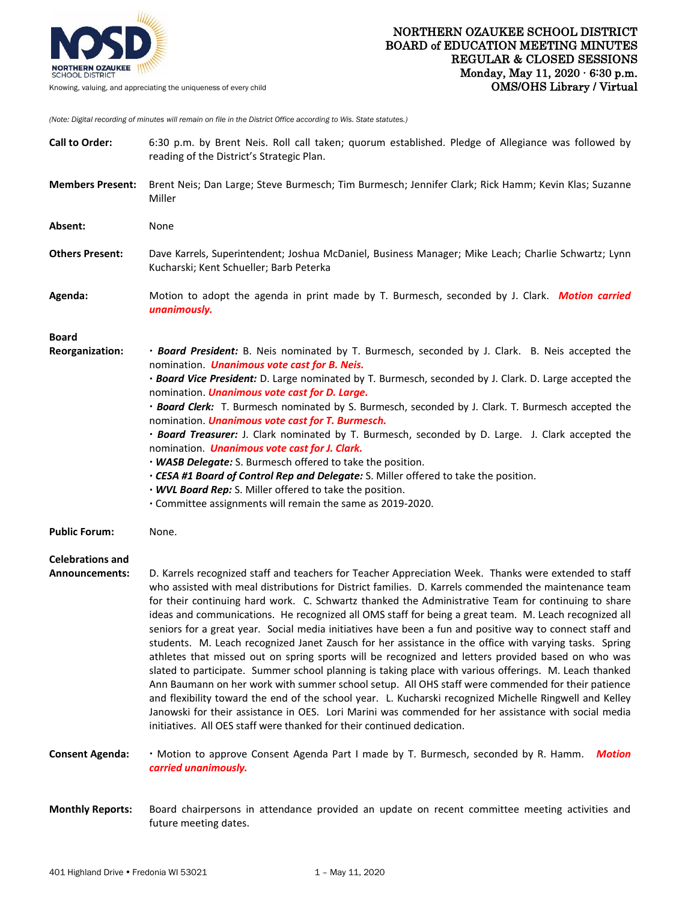

Knowing, valuing, and appreciating the uniqueness of every child

*(Note: Digital recording of minutes will remain on file in the District Office according to Wis. State statutes.)*

| <b>Call to Order:</b>                     | 6:30 p.m. by Brent Neis. Roll call taken; quorum established. Pledge of Allegiance was followed by<br>reading of the District's Strategic Plan.                                                                                                                                                                                                                                                                                                                                                                                                                                                                                                                                                                                                                                                                                                                                                                                                                                                                                                                                                                                                                                                                                                                         |
|-------------------------------------------|-------------------------------------------------------------------------------------------------------------------------------------------------------------------------------------------------------------------------------------------------------------------------------------------------------------------------------------------------------------------------------------------------------------------------------------------------------------------------------------------------------------------------------------------------------------------------------------------------------------------------------------------------------------------------------------------------------------------------------------------------------------------------------------------------------------------------------------------------------------------------------------------------------------------------------------------------------------------------------------------------------------------------------------------------------------------------------------------------------------------------------------------------------------------------------------------------------------------------------------------------------------------------|
| <b>Members Present:</b>                   | Brent Neis; Dan Large; Steve Burmesch; Tim Burmesch; Jennifer Clark; Rick Hamm; Kevin Klas; Suzanne<br>Miller                                                                                                                                                                                                                                                                                                                                                                                                                                                                                                                                                                                                                                                                                                                                                                                                                                                                                                                                                                                                                                                                                                                                                           |
| Absent:                                   | None                                                                                                                                                                                                                                                                                                                                                                                                                                                                                                                                                                                                                                                                                                                                                                                                                                                                                                                                                                                                                                                                                                                                                                                                                                                                    |
| <b>Others Present:</b>                    | Dave Karrels, Superintendent; Joshua McDaniel, Business Manager; Mike Leach; Charlie Schwartz; Lynn<br>Kucharski; Kent Schueller; Barb Peterka                                                                                                                                                                                                                                                                                                                                                                                                                                                                                                                                                                                                                                                                                                                                                                                                                                                                                                                                                                                                                                                                                                                          |
| Agenda:                                   | Motion to adopt the agenda in print made by T. Burmesch, seconded by J. Clark. Motion carried<br>unanimously.                                                                                                                                                                                                                                                                                                                                                                                                                                                                                                                                                                                                                                                                                                                                                                                                                                                                                                                                                                                                                                                                                                                                                           |
| <b>Board</b><br>Reorganization:           | · Board President: B. Neis nominated by T. Burmesch, seconded by J. Clark. B. Neis accepted the<br>nomination. <i>Unanimous vote cast for B. Neis.</i><br>. Board Vice President: D. Large nominated by T. Burmesch, seconded by J. Clark. D. Large accepted the<br>nomination. <i>Unanimous vote cast for D. Large.</i><br>· Board Clerk: T. Burmesch nominated by S. Burmesch, seconded by J. Clark. T. Burmesch accepted the<br>nomination. <i>Unanimous vote cast for T. Burmesch.</i><br>· Board Treasurer: J. Clark nominated by T. Burmesch, seconded by D. Large. J. Clark accepted the<br>nomination. Unanimous vote cast for J. Clark.<br>. WASB Delegate: S. Burmesch offered to take the position.<br>. CESA #1 Board of Control Rep and Delegate: S. Miller offered to take the position.<br>. WVL Board Rep: S. Miller offered to take the position.<br>• Committee assignments will remain the same as 2019-2020.                                                                                                                                                                                                                                                                                                                                        |
| <b>Public Forum:</b>                      | None.                                                                                                                                                                                                                                                                                                                                                                                                                                                                                                                                                                                                                                                                                                                                                                                                                                                                                                                                                                                                                                                                                                                                                                                                                                                                   |
| <b>Celebrations and</b><br>Announcements: | D. Karrels recognized staff and teachers for Teacher Appreciation Week. Thanks were extended to staff<br>who assisted with meal distributions for District families. D. Karrels commended the maintenance team<br>for their continuing hard work. C. Schwartz thanked the Administrative Team for continuing to share<br>ideas and communications. He recognized all OMS staff for being a great team. M. Leach recognized all<br>seniors for a great year. Social media initiatives have been a fun and positive way to connect staff and<br>students. M. Leach recognized Janet Zausch for her assistance in the office with varying tasks. Spring<br>athletes that missed out on spring sports will be recognized and letters provided based on who was<br>slated to participate. Summer school planning is taking place with various offerings. M. Leach thanked<br>Ann Baumann on her work with summer school setup. All OHS staff were commended for their patience<br>and flexibility toward the end of the school year. L. Kucharski recognized Michelle Ringwell and Kelley<br>Janowski for their assistance in OES. Lori Marini was commended for her assistance with social media<br>initiatives. All OES staff were thanked for their continued dedication. |
| <b>Consent Agenda:</b>                    | . Motion to approve Consent Agenda Part I made by T. Burmesch, seconded by R. Hamm.<br><b>Motion</b><br>carried unanimously.                                                                                                                                                                                                                                                                                                                                                                                                                                                                                                                                                                                                                                                                                                                                                                                                                                                                                                                                                                                                                                                                                                                                            |
| <b>Monthly Reports:</b>                   | Board chairpersons in attendance provided an update on recent committee meeting activities and                                                                                                                                                                                                                                                                                                                                                                                                                                                                                                                                                                                                                                                                                                                                                                                                                                                                                                                                                                                                                                                                                                                                                                          |

future meeting dates.